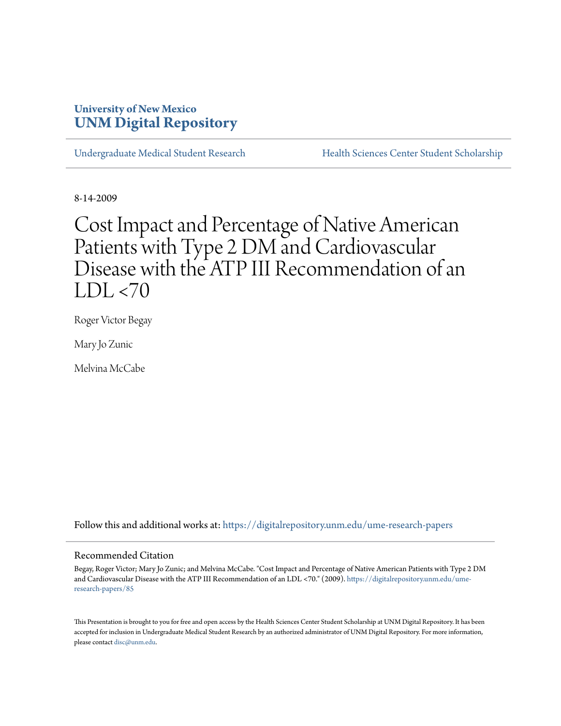# **University of New Mexico [UNM Digital Repository](https://digitalrepository.unm.edu?utm_source=digitalrepository.unm.edu%2Fume-research-papers%2F85&utm_medium=PDF&utm_campaign=PDFCoverPages)**

[Undergraduate Medical Student Research](https://digitalrepository.unm.edu/ume-research-papers?utm_source=digitalrepository.unm.edu%2Fume-research-papers%2F85&utm_medium=PDF&utm_campaign=PDFCoverPages) [Health Sciences Center Student Scholarship](https://digitalrepository.unm.edu/hsc-students?utm_source=digitalrepository.unm.edu%2Fume-research-papers%2F85&utm_medium=PDF&utm_campaign=PDFCoverPages)

8-14-2009

# Cost Impact and Percentage of Native American Patients with Type 2 DM and Cardiovascular Disease with the ATP III Recommendation of an  $LDL < 70$

Roger Victor Begay

Mary Jo Zunic

Melvina McCabe

Follow this and additional works at: [https://digitalrepository.unm.edu/ume-research-papers](https://digitalrepository.unm.edu/ume-research-papers?utm_source=digitalrepository.unm.edu%2Fume-research-papers%2F85&utm_medium=PDF&utm_campaign=PDFCoverPages)

#### Recommended Citation

Begay, Roger Victor; Mary Jo Zunic; and Melvina McCabe. "Cost Impact and Percentage of Native American Patients with Type 2 DM and Cardiovascular Disease with the ATP III Recommendation of an LDL <70." (2009). [https://digitalrepository.unm.edu/ume](https://digitalrepository.unm.edu/ume-research-papers/85?utm_source=digitalrepository.unm.edu%2Fume-research-papers%2F85&utm_medium=PDF&utm_campaign=PDFCoverPages)[research-papers/85](https://digitalrepository.unm.edu/ume-research-papers/85?utm_source=digitalrepository.unm.edu%2Fume-research-papers%2F85&utm_medium=PDF&utm_campaign=PDFCoverPages)

This Presentation is brought to you for free and open access by the Health Sciences Center Student Scholarship at UNM Digital Repository. It has been accepted for inclusion in Undergraduate Medical Student Research by an authorized administrator of UNM Digital Repository. For more information, please contact [disc@unm.edu.](mailto:disc@unm.edu)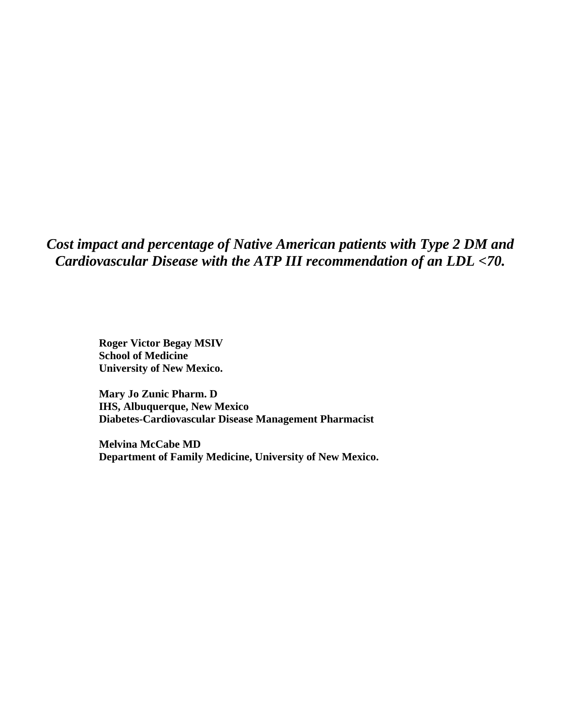*Cost impact and percentage of Native American patients with Type 2 DM and Cardiovascular Disease with the ATP III recommendation of an LDL <70.* 

> **Roger Victor Begay MSIV School of Medicine University of New Mexico.**

**Mary Jo Zunic Pharm. D IHS, Albuquerque, New Mexico Diabetes-Cardiovascular Disease Management Pharmacist** 

**Melvina McCabe MD Department of Family Medicine, University of New Mexico.**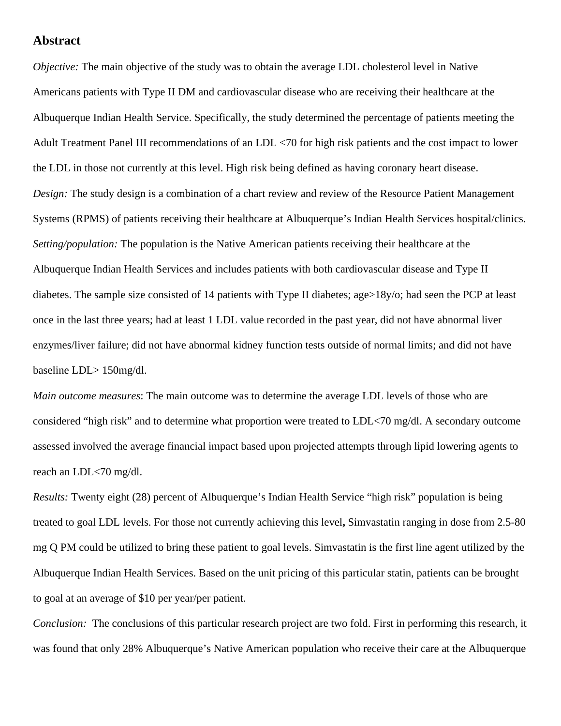#### **Abstract**

*Objective:* The main objective of the study was to obtain the average LDL cholesterol level in Native Americans patients with Type II DM and cardiovascular disease who are receiving their healthcare at the Albuquerque Indian Health Service. Specifically, the study determined the percentage of patients meeting the Adult Treatment Panel III recommendations of an LDL <70 for high risk patients and the cost impact to lower the LDL in those not currently at this level. High risk being defined as having coronary heart disease. *Design:* The study design is a combination of a chart review and review of the Resource Patient Management Systems (RPMS) of patients receiving their healthcare at Albuquerque's Indian Health Services hospital/clinics. *Setting/population:* The population is the Native American patients receiving their healthcare at the Albuquerque Indian Health Services and includes patients with both cardiovascular disease and Type II diabetes. The sample size consisted of 14 patients with Type II diabetes; age>18y/o; had seen the PCP at least once in the last three years; had at least 1 LDL value recorded in the past year, did not have abnormal liver enzymes/liver failure; did not have abnormal kidney function tests outside of normal limits; and did not have baseline LDL> 150mg/dl.

*Main outcome measures*: The main outcome was to determine the average LDL levels of those who are considered "high risk" and to determine what proportion were treated to LDL<70 mg/dl. A secondary outcome assessed involved the average financial impact based upon projected attempts through lipid lowering agents to reach an LDL<70 mg/dl.

*Results:* Twenty eight (28) percent of Albuquerque's Indian Health Service "high risk" population is being treated to goal LDL levels. For those not currently achieving this level**,** Simvastatin ranging in dose from 2.5-80 mg Q PM could be utilized to bring these patient to goal levels. Simvastatin is the first line agent utilized by the Albuquerque Indian Health Services. Based on the unit pricing of this particular statin, patients can be brought to goal at an average of \$10 per year/per patient.

*Conclusion:* The conclusions of this particular research project are two fold. First in performing this research, it was found that only 28% Albuquerque's Native American population who receive their care at the Albuquerque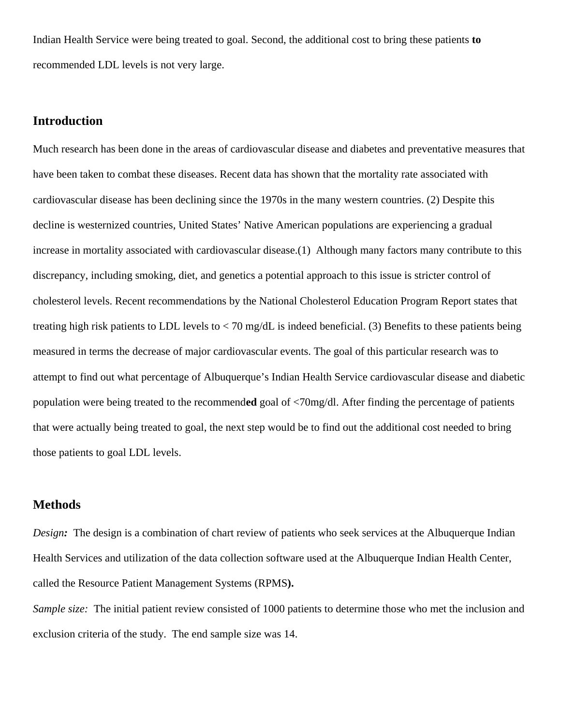Indian Health Service were being treated to goal. Second, the additional cost to bring these patients **to** recommended LDL levels is not very large.

#### **Introduction**

Much research has been done in the areas of cardiovascular disease and diabetes and preventative measures that have been taken to combat these diseases. Recent data has shown that the mortality rate associated with cardiovascular disease has been declining since the 1970s in the many western countries. (2) Despite this decline is westernized countries, United States' Native American populations are experiencing a gradual increase in mortality associated with cardiovascular disease.(1) Although many factors many contribute to this discrepancy, including smoking, diet, and genetics a potential approach to this issue is stricter control of cholesterol levels. Recent recommendations by the National Cholesterol Education Program Report states that treating high risk patients to LDL levels to  $<$  70 mg/dL is indeed beneficial. (3) Benefits to these patients being measured in terms the decrease of major cardiovascular events. The goal of this particular research was to attempt to find out what percentage of Albuquerque's Indian Health Service cardiovascular disease and diabetic population were being treated to the recommend**ed** goal of <70mg/dl. After finding the percentage of patients that were actually being treated to goal, the next step would be to find out the additional cost needed to bring those patients to goal LDL levels.

#### **Methods**

*Design*: The design is a combination of chart review of patients who seek services at the Albuquerque Indian Health Services and utilization of the data collection software used at the Albuquerque Indian Health Center, called the Resource Patient Management Systems (RPMS**).** 

*Sample size:* The initial patient review consisted of 1000 patients to determine those who met the inclusion and exclusion criteria of the study. The end sample size was 14.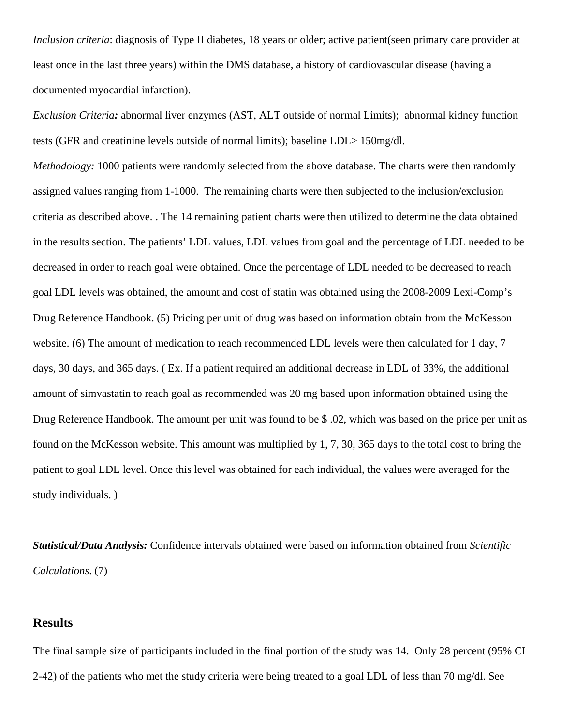*Inclusion criteria*: diagnosis of Type II diabetes, 18 years or older; active patient(seen primary care provider at least once in the last three years) within the DMS database, a history of cardiovascular disease (having a documented myocardial infarction).

*Exclusion Criteria:* abnormal liver enzymes (AST, ALT outside of normal Limits); abnormal kidney function tests (GFR and creatinine levels outside of normal limits); baseline LDL> 150mg/dl.

*Methodology:* 1000 patients were randomly selected from the above database. The charts were then randomly assigned values ranging from 1-1000. The remaining charts were then subjected to the inclusion/exclusion criteria as described above. . The 14 remaining patient charts were then utilized to determine the data obtained in the results section. The patients' LDL values, LDL values from goal and the percentage of LDL needed to be decreased in order to reach goal were obtained. Once the percentage of LDL needed to be decreased to reach goal LDL levels was obtained, the amount and cost of statin was obtained using the 2008-2009 Lexi-Comp's Drug Reference Handbook. (5) Pricing per unit of drug was based on information obtain from the McKesson website. (6) The amount of medication to reach recommended LDL levels were then calculated for 1 day, 7 days, 30 days, and 365 days. ( Ex. If a patient required an additional decrease in LDL of 33%, the additional amount of simvastatin to reach goal as recommended was 20 mg based upon information obtained using the Drug Reference Handbook. The amount per unit was found to be \$ .02, which was based on the price per unit as found on the McKesson website. This amount was multiplied by 1, 7, 30, 365 days to the total cost to bring the patient to goal LDL level. Once this level was obtained for each individual, the values were averaged for the study individuals. )

*Statistical/Data Analysis:* Confidence intervals obtained were based on information obtained from *Scientific Calculations*. (7)

#### **Results**

The final sample size of participants included in the final portion of the study was 14. Only 28 percent (95% CI 2-42) of the patients who met the study criteria were being treated to a goal LDL of less than 70 mg/dl. See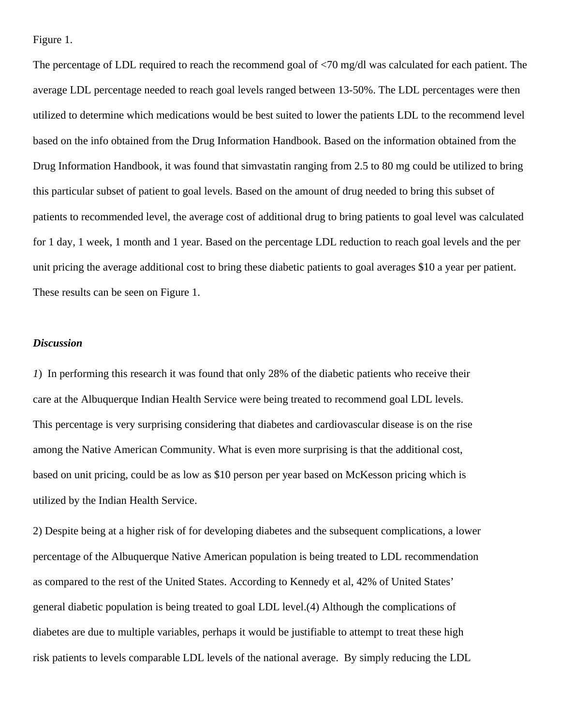Figure 1.

The percentage of LDL required to reach the recommend goal of <70 mg/dl was calculated for each patient. The average LDL percentage needed to reach goal levels ranged between 13-50%. The LDL percentages were then utilized to determine which medications would be best suited to lower the patients LDL to the recommend level based on the info obtained from the Drug Information Handbook. Based on the information obtained from the Drug Information Handbook, it was found that simvastatin ranging from 2.5 to 80 mg could be utilized to bring this particular subset of patient to goal levels. Based on the amount of drug needed to bring this subset of patients to recommended level, the average cost of additional drug to bring patients to goal level was calculated for 1 day, 1 week, 1 month and 1 year. Based on the percentage LDL reduction to reach goal levels and the per unit pricing the average additional cost to bring these diabetic patients to goal averages \$10 a year per patient. These results can be seen on Figure 1.

#### *Discussion*

*1*) In performing this research it was found that only 28% of the diabetic patients who receive their care at the Albuquerque Indian Health Service were being treated to recommend goal LDL levels. This percentage is very surprising considering that diabetes and cardiovascular disease is on the rise among the Native American Community. What is even more surprising is that the additional cost, based on unit pricing, could be as low as \$10 person per year based on McKesson pricing which is utilized by the Indian Health Service.

2) Despite being at a higher risk of for developing diabetes and the subsequent complications, a lower percentage of the Albuquerque Native American population is being treated to LDL recommendation as compared to the rest of the United States. According to Kennedy et al, 42% of United States' general diabetic population is being treated to goal LDL level.(4) Although the complications of diabetes are due to multiple variables, perhaps it would be justifiable to attempt to treat these high risk patients to levels comparable LDL levels of the national average.By simply reducing the LDL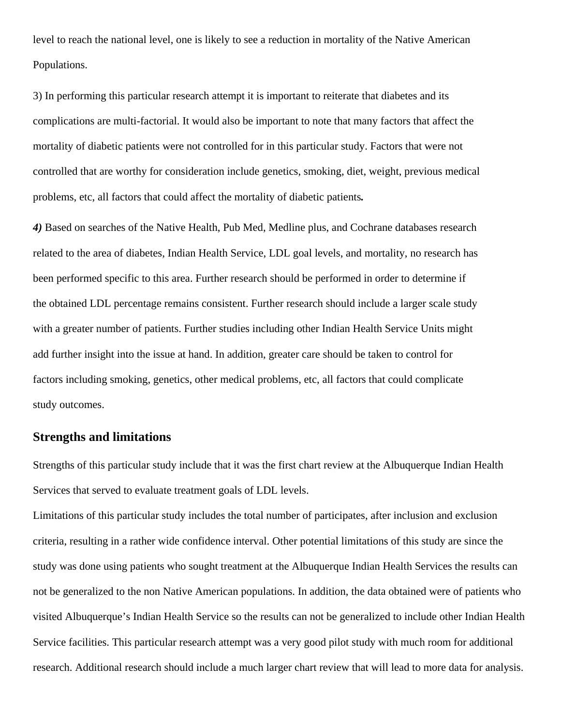level to reach the national level, one is likely to see a reduction in mortality of the Native American Populations.

3) In performing this particular research attempt it is important to reiterate that diabetes and its complications are multi-factorial. It would also be important to note that many factors that affect the mortality of diabetic patients were not controlled for in this particular study. Factors that were not controlled that are worthy for consideration include genetics, smoking, diet, weight, previous medical problems, etc, all factors that could affect the mortality of diabetic patients*.* 

*4)* Based on searches of the Native Health, Pub Med, Medline plus, and Cochrane databases research related to the area of diabetes, Indian Health Service, LDL goal levels, and mortality, no research has been performed specific to this area. Further research should be performed in order to determine if the obtained LDL percentage remains consistent. Further research should include a larger scale study with a greater number of patients. Further studies including other Indian Health Service Units might add further insight into the issue at hand. In addition, greater care should be taken to control for factors including smoking, genetics, other medical problems, etc, all factors that could complicate study outcomes.

### **Strengths and limitations**

Strengths of this particular study include that it was the first chart review at the Albuquerque Indian Health Services that served to evaluate treatment goals of LDL levels.

Limitations of this particular study includes the total number of participates, after inclusion and exclusion criteria, resulting in a rather wide confidence interval. Other potential limitations of this study are since the study was done using patients who sought treatment at the Albuquerque Indian Health Services the results can not be generalized to the non Native American populations. In addition, the data obtained were of patients who visited Albuquerque's Indian Health Service so the results can not be generalized to include other Indian Health Service facilities. This particular research attempt was a very good pilot study with much room for additional research. Additional research should include a much larger chart review that will lead to more data for analysis.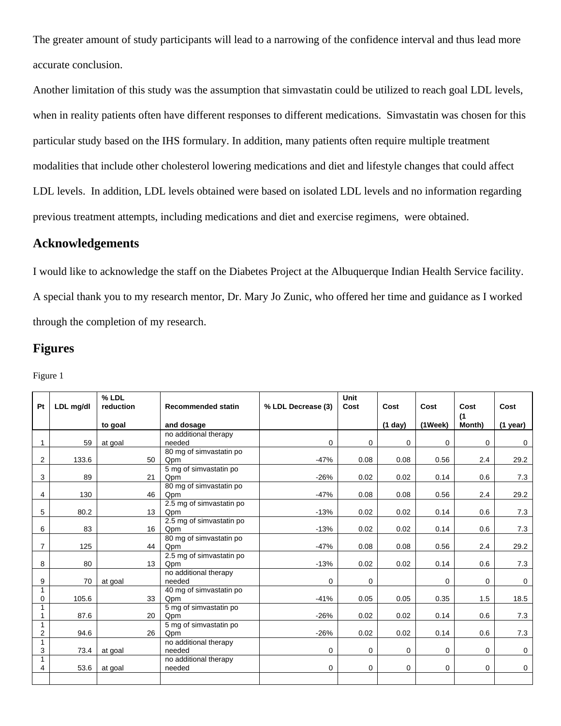The greater amount of study participants will lead to a narrowing of the confidence interval and thus lead more accurate conclusion.

Another limitation of this study was the assumption that simvastatin could be utilized to reach goal LDL levels, when in reality patients often have different responses to different medications. Simvastatin was chosen for this particular study based on the IHS formulary. In addition, many patients often require multiple treatment modalities that include other cholesterol lowering medications and diet and lifestyle changes that could affect LDL levels. In addition, LDL levels obtained were based on isolated LDL levels and no information regarding previous treatment attempts, including medications and diet and exercise regimens, were obtained.

# **Acknowledgements**

I would like to acknowledge the staff on the Diabetes Project at the Albuquerque Indian Health Service facility. A special thank you to my research mentor, Dr. Mary Jo Zunic, who offered her time and guidance as I worked through the completion of my research.

#### **Figures**

|--|--|

| Pt             | LDL mg/dl | % LDL<br>reduction |                  | <b>Recommended statin</b>       | % LDL Decrease (3) | <b>Unit</b><br>Cost | Cost        | Cost              | Cost          | Cost        |
|----------------|-----------|--------------------|------------------|---------------------------------|--------------------|---------------------|-------------|-------------------|---------------|-------------|
|                |           | to goal            |                  | and dosage                      |                    |                     | (1 day)     | $(1 \text{Week})$ | (1)<br>Month) | $(1$ year)  |
|                |           |                    |                  | no additional therapy           |                    |                     |             |                   |               |             |
| 1              | 59        | at goal            |                  | needed                          | 0                  | 0                   | $\mathbf 0$ | 0                 | 0             | $\mathbf 0$ |
|                |           |                    |                  | 80 mg of simvastatin po         |                    |                     |             |                   |               |             |
| $\overline{2}$ | 133.6     |                    | 50               | Qpm                             | $-47%$             | 0.08                | 0.08        | 0.56              | 2.4           | 29.2        |
|                |           |                    |                  | 5 mg of simvastatin po          |                    |                     |             |                   |               |             |
| 3              | 89        |                    | 21               | Qpm                             | $-26%$             | 0.02                | 0.02        | 0.14              | 0.6           | 7.3         |
|                |           |                    |                  | 80 mg of simvastatin po         |                    |                     |             |                   |               |             |
| 4              | 130       |                    | 46               | Qpm                             | $-47%$             | 0.08                | 0.08        | 0.56              | 2.4           | 29.2        |
|                |           |                    |                  | 2.5 mg of simvastatin po        |                    |                     |             |                   |               |             |
| 5              | 80.2      |                    | 13               | Qpm                             | $-13%$             | 0.02                | 0.02        | 0.14              | 0.6           | 7.3         |
|                |           |                    |                  | 2.5 mg of simvastatin po        |                    |                     |             |                   |               |             |
| 6              | 83        |                    | 16               | Qpm                             | $-13%$             | 0.02                | 0.02        | 0.14              | 0.6           | 7.3         |
| 7              |           |                    |                  | 80 mg of simvastatin po         |                    |                     |             |                   |               |             |
|                | 125       |                    | 44               | Qpm<br>2.5 mg of simvastatin po | $-47%$             | 0.08                | 0.08        | 0.56              | 2.4           | 29.2        |
| 8              | 80        |                    | 13 <sup>13</sup> | Qpm                             | $-13%$             | 0.02                | 0.02        | 0.14              | 0.6           | 7.3         |
|                |           |                    |                  | no additional therapy           |                    |                     |             |                   |               |             |
| 9              | 70        | at goal            |                  | needed                          | $\mathbf 0$        | $\mathbf 0$         |             | 0                 | 0             | $\mathbf 0$ |
| 1              |           |                    |                  | 40 mg of simvastatin po         |                    |                     |             |                   |               |             |
| 0              | 105.6     |                    | 33               | Qpm                             | $-41%$             | 0.05                | 0.05        | 0.35              | 1.5           | 18.5        |
|                |           |                    |                  | 5 mg of simvastatin po          |                    |                     |             |                   |               |             |
|                | 87.6      |                    | 20               | Qpm                             | $-26%$             | 0.02                | 0.02        | 0.14              | 0.6           | 7.3         |
| 1              |           |                    |                  | 5 mg of simvastatin po          |                    |                     |             |                   |               |             |
| $\overline{2}$ | 94.6      |                    | 26               | Qpm                             | $-26%$             | 0.02                | 0.02        | 0.14              | 0.6           | 7.3         |
| 1              |           |                    |                  | no additional therapy           |                    |                     |             |                   |               |             |
| 3              | 73.4      | at goal            |                  | needed                          | $\mathbf 0$        | 0                   | $\mathbf 0$ | 0                 | 0             | $\mathbf 0$ |
| 1<br>4         | 53.6      | at goal            |                  | no additional therapy<br>needed | $\mathbf 0$        | 0                   | $\mathbf 0$ | 0                 | 0             | $\mathbf 0$ |
|                |           |                    |                  |                                 |                    |                     |             |                   |               |             |
|                |           |                    |                  |                                 |                    |                     |             |                   |               |             |